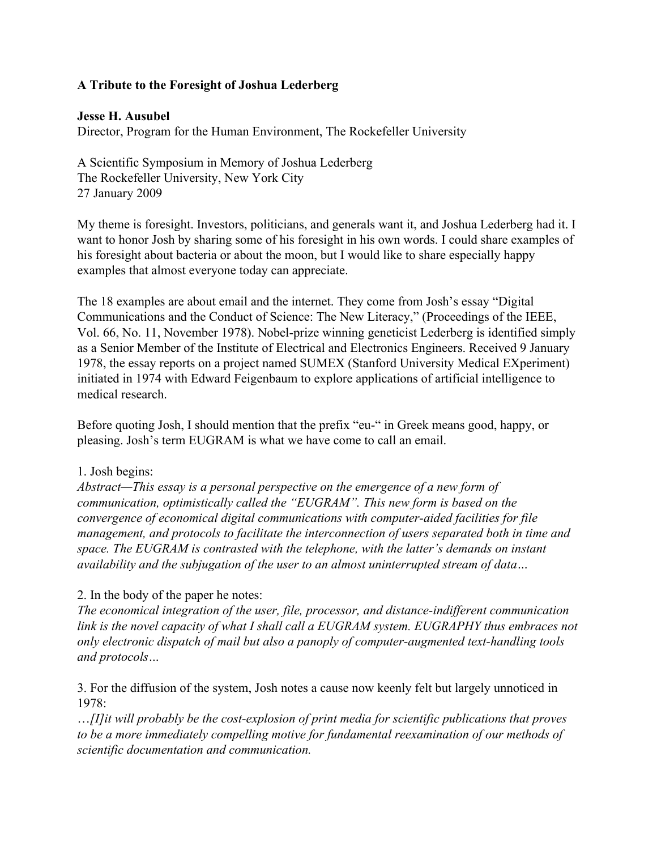# **A Tribute to the Foresight of Joshua Lederberg**

## **Jesse H. Ausubel**

Director, Program for the Human Environment, The Rockefeller University

A Scientific Symposium in Memory of Joshua Lederberg The Rockefeller University, New York City 27 January 2009

My theme is foresight. Investors, politicians, and generals want it, and Joshua Lederberg had it. I want to honor Josh by sharing some of his foresight in his own words. I could share examples of his foresight about bacteria or about the moon, but I would like to share especially happy examples that almost everyone today can appreciate.

The 18 examples are about email and the internet. They come from Josh's essay "Digital Communications and the Conduct of Science: The New Literacy," (Proceedings of the IEEE, Vol. 66, No. 11, November 1978). Nobel-prize winning geneticist Lederberg is identified simply as a Senior Member of the Institute of Electrical and Electronics Engineers. Received 9 January 1978, the essay reports on a project named SUMEX (Stanford University Medical EXperiment) initiated in 1974 with Edward Feigenbaum to explore applications of artificial intelligence to medical research.

Before quoting Josh, I should mention that the prefix "eu-" in Greek means good, happy, or pleasing. Josh's term EUGRAM is what we have come to call an email.

#### 1. Josh begins:

*Abstract—This essay is a personal perspective on the emergence of a new form of communication, optimistically called the "EUGRAM". This new form is based on the convergence of economical digital communications with computer-aided facilities for file management, and protocols to facilitate the interconnection of users separated both in time and space. The EUGRAM is contrasted with the telephone, with the latter's demands on instant availability and the subjugation of the user to an almost uninterrupted stream of data…*

## 2. In the body of the paper he notes:

*The economical integration of the user, file, processor, and distance-indifferent communication link is the novel capacity of what I shall call a EUGRAM system. EUGRAPHY thus embraces not only electronic dispatch of mail but also a panoply of computer-augmented text-handling tools and protocols…*

3. For the diffusion of the system, Josh notes a cause now keenly felt but largely unnoticed in 1978:

…*[I]it will probably be the cost-explosion of print media for scientific publications that proves to be a more immediately compelling motive for fundamental reexamination of our methods of scientific documentation and communication.*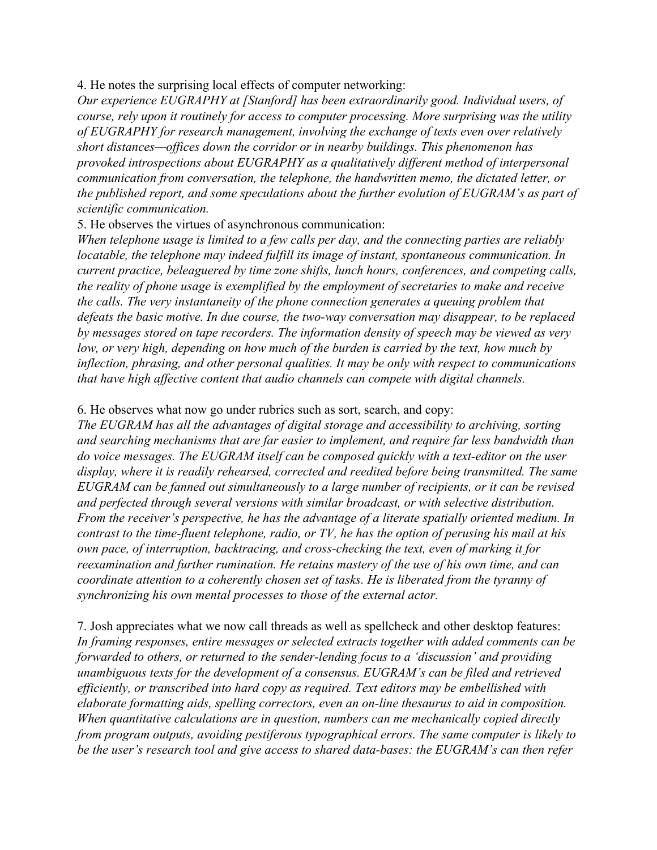#### 4. He notes the surprising local effects of computer networking:

*Our experience EUGRAPHY at [Stanford] has been extraordinarily good. Individual users, of course, rely upon it routinely for access to computer processing. More surprising was the utility of EUGRAPHY for research management, involving the exchange of texts even over relatively short distances—offices down the corridor or in nearby buildings. This phenomenon has provoked introspections about EUGRAPHY as a qualitatively different method of interpersonal communication from conversation, the telephone, the handwritten memo, the dictated letter, or the published report, and some speculations about the further evolution of EUGRAM's as part of scientific communication.*

## 5. He observes the virtues of asynchronous communication:

*When telephone usage is limited to a few calls per day, and the connecting parties are reliably locatable, the telephone may indeed fulfill its image of instant, spontaneous communication. In current practice, beleaguered by time zone shifts, lunch hours, conferences, and competing calls, the reality of phone usage is exemplified by the employment of secretaries to make and receive the calls. The very instantaneity of the phone connection generates a queuing problem that defeats the basic motive. In due course, the two-way conversation may disappear, to be replaced by messages stored on tape recorders. The information density of speech may be viewed as very low, or very high, depending on how much of the burden is carried by the text, how much by inflection, phrasing, and other personal qualities. It may be only with respect to communications that have high affective content that audio channels can compete with digital channels.*

## 6. He observes what now go under rubrics such as sort, search, and copy:

*The EUGRAM has all the advantages of digital storage and accessibility to archiving, sorting and searching mechanisms that are far easier to implement, and require far less bandwidth than do voice messages. The EUGRAM itself can be composed quickly with a text-editor on the user display, where it is readily rehearsed, corrected and reedited before being transmitted. The same EUGRAM can be fanned out simultaneously to a large number of recipients, or it can be revised and perfected through several versions with similar broadcast, or with selective distribution. From the receiver's perspective, he has the advantage of a literate spatially oriented medium. In contrast to the time-fluent telephone, radio, or TV, he has the option of perusing his mail at his own pace, of interruption, backtracing, and cross-checking the text, even of marking it for reexamination and further rumination. He retains mastery of the use of his own time, and can coordinate attention to a coherently chosen set of tasks. He is liberated from the tyranny of synchronizing his own mental processes to those of the external actor.*

7. Josh appreciates what we now call threads as well as spellcheck and other desktop features: *In framing responses, entire messages or selected extracts together with added comments can be forwarded to others, or returned to the sender-lending focus to a 'discussion' and providing unambiguous texts for the development of a consensus. EUGRAM's can be filed and retrieved efficiently, or transcribed into hard copy as required. Text editors may be embellished with elaborate formatting aids, spelling correctors, even an on-line thesaurus to aid in composition. When quantitative calculations are in question, numbers can me mechanically copied directly from program outputs, avoiding pestiferous typographical errors. The same computer is likely to be the user's research tool and give access to shared data-bases: the EUGRAM's can then refer*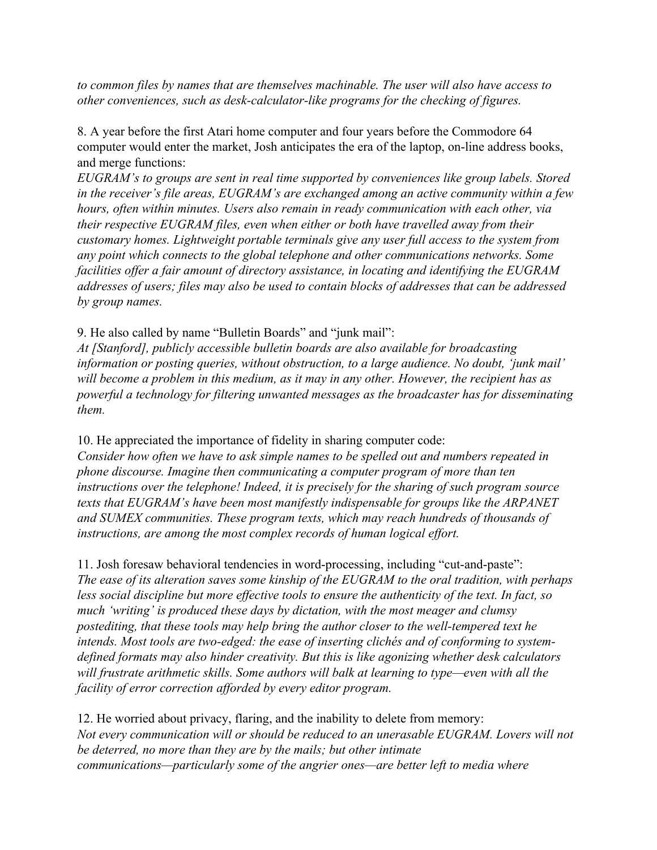*to common files by names that are themselves machinable. The user will also have access to other conveniences, such as desk-calculator-like programs for the checking of figures.*

8. A year before the first Atari home computer and four years before the Commodore 64 computer would enter the market, Josh anticipates the era of the laptop, on-line address books, and merge functions:

*EUGRAM's to groups are sent in real time supported by conveniences like group labels. Stored in the receiver's file areas, EUGRAM's are exchanged among an active community within a few hours, often within minutes. Users also remain in ready communication with each other, via their respective EUGRAM files, even when either or both have travelled away from their customary homes. Lightweight portable terminals give any user full access to the system from any point which connects to the global telephone and other communications networks. Some facilities offer a fair amount of directory assistance, in locating and identifying the EUGRAM addresses of users; files may also be used to contain blocks of addresses that can be addressed by group names.*

9. He also called by name "Bulletin Boards" and "junk mail":

*At [Stanford], publicly accessible bulletin boards are also available for broadcasting information or posting queries, without obstruction, to a large audience. No doubt, 'junk mail' will become a problem in this medium, as it may in any other. However, the recipient has as powerful a technology for filtering unwanted messages as the broadcaster has for disseminating them.*

10. He appreciated the importance of fidelity in sharing computer code:

*Consider how often we have to ask simple names to be spelled out and numbers repeated in phone discourse. Imagine then communicating a computer program of more than ten instructions over the telephone! Indeed, it is precisely for the sharing of such program source texts that EUGRAM's have been most manifestly indispensable for groups like the ARPANET and SUMEX communities. These program texts, which may reach hundreds of thousands of instructions, are among the most complex records of human logical effort.*

11. Josh foresaw behavioral tendencies in word-processing, including "cut-and-paste": *The ease of its alteration saves some kinship of the EUGRAM to the oral tradition, with perhaps less social discipline but more effective tools to ensure the authenticity of the text. In fact, so much 'writing' is produced these days by dictation, with the most meager and clumsy postediting, that these tools may help bring the author closer to the well-tempered text he intends. Most tools are two-edged: the ease of inserting clichés and of conforming to systemdefined formats may also hinder creativity. But this is like agonizing whether desk calculators will frustrate arithmetic skills. Some authors will balk at learning to type—even with all the facility of error correction afforded by every editor program.*

12. He worried about privacy, flaring, and the inability to delete from memory: *Not every communication will or should be reduced to an unerasable EUGRAM. Lovers will not be deterred, no more than they are by the mails; but other intimate communications—particularly some of the angrier ones—are better left to media where*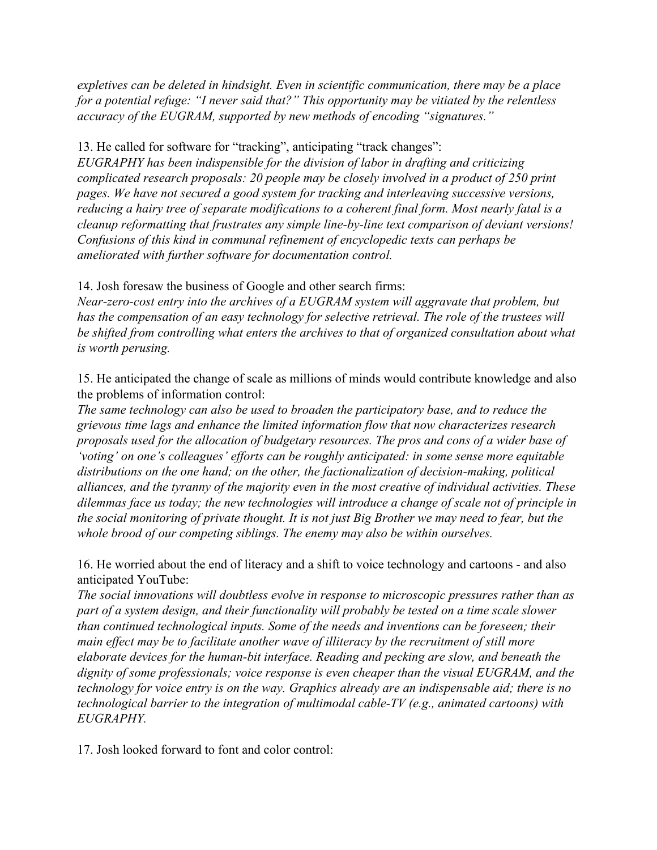*expletives can be deleted in hindsight. Even in scientific communication, there may be a place for a potential refuge: "I never said that?" This opportunity may be vitiated by the relentless accuracy of the EUGRAM, supported by new methods of encoding "signatures."*

13. He called for software for "tracking", anticipating "track changes":

*EUGRAPHY has been indispensible for the division of labor in drafting and criticizing complicated research proposals: 20 people may be closely involved in a product of 250 print pages. We have not secured a good system for tracking and interleaving successive versions, reducing a hairy tree of separate modifications to a coherent final form. Most nearly fatal is a cleanup reformatting that frustrates any simple line-by-line text comparison of deviant versions! Confusions of this kind in communal refinement of encyclopedic texts can perhaps be ameliorated with further software for documentation control.*

14. Josh foresaw the business of Google and other search firms:

*Near-zero-cost entry into the archives of a EUGRAM system will aggravate that problem, but* has the compensation of an easy technology for selective retrieval. The role of the trustees will *be shifted from controlling what enters the archives to that of organized consultation about what is worth perusing.*

15. He anticipated the change of scale as millions of minds would contribute knowledge and also the problems of information control:

*The same technology can also be used to broaden the participatory base, and to reduce the grievous time lags and enhance the limited information flow that now characterizes research proposals used for the allocation of budgetary resources. The pros and cons of a wider base of 'voting' on one's colleagues' efforts can be roughly anticipated: in some sense more equitable distributions on the one hand; on the other, the factionalization of decision-making, political alliances, and the tyranny of the majority even in the most creative of individual activities. These dilemmas face us today; the new technologies will introduce a change of scale not of principle in the social monitoring of private thought. It is not just Big Brother we may need to fear, but the whole brood of our competing siblings. The enemy may also be within ourselves.*

16. He worried about the end of literacy and a shift to voice technology and cartoons - and also anticipated YouTube:

*The social innovations will doubtless evolve in response to microscopic pressures rather than as part of a system design, and their functionality will probably be tested on a time scale slower than continued technological inputs. Some of the needs and inventions can be foreseen; their main effect may be to facilitate another wave of illiteracy by the recruitment of still more elaborate devices for the human-bit interface. Reading and pecking are slow, and beneath the dignity of some professionals; voice response is even cheaper than the visual EUGRAM, and the technology for voice entry is on the way. Graphics already are an indispensable aid; there is no technological barrier to the integration of multimodal cable-TV (e.g., animated cartoons) with EUGRAPHY.*

17. Josh looked forward to font and color control: